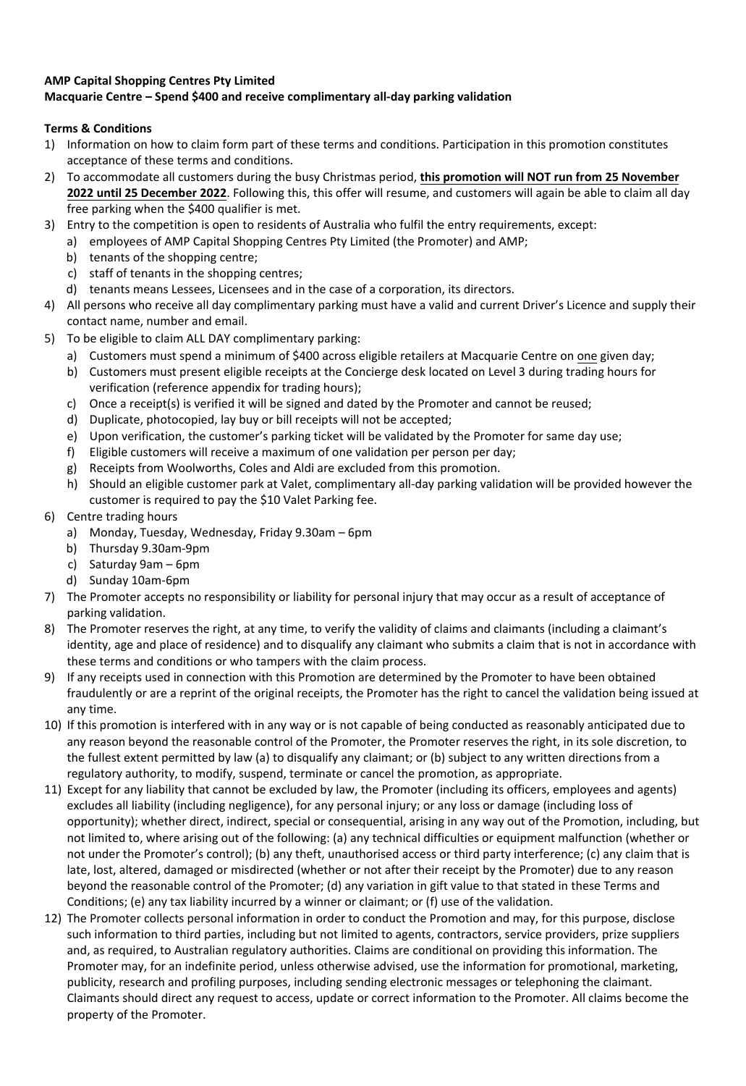## **AMP Capital Shopping Centres Pty Limited Macquarie Centre – Spend \$400 and receive complimentary all-day parking validation**

## **Terms & Conditions**

- 1) Information on how to claim form part of these terms and conditions. Participation in this promotion constitutes acceptance of these terms and conditions.
- 2) To accommodate all customers during the busy Christmas period, **this promotion will NOT run from 25 November 2022 until 25 December 2022**. Following this, this offer will resume, and customers will again be able to claim all day free parking when the \$400 qualifier is met.
- 3) Entry to the competition is open to residents of Australia who fulfil the entry requirements, except:
	- a) employees of AMP Capital Shopping Centres Pty Limited (the Promoter) and AMP;
		- b) tenants of the shopping centre;
		- c) staff of tenants in the shopping centres;
	- d) tenants means Lessees, Licensees and in the case of a corporation, its directors.
- 4) All persons who receive all day complimentary parking must have a valid and current Driver's Licence and supply their contact name, number and email.
- 5) To be eligible to claim ALL DAY complimentary parking:
	- a) Customers must spend a minimum of \$400 across eligible retailers at Macquarie Centre on one given day;
		- b) Customers must present eligible receipts at the Concierge desk located on Level 3 during trading hours for verification (reference appendix for trading hours);
		- c) Once a receipt(s) is verified it will be signed and dated by the Promoter and cannot be reused;
		- d) Duplicate, photocopied, lay buy or bill receipts will not be accepted;
		- e) Upon verification, the customer's parking ticket will be validated by the Promoter for same day use;
		- f) Eligible customers will receive a maximum of one validation per person per day;
		- g) Receipts from Woolworths, Coles and Aldi are excluded from this promotion.
		- h) Should an eligible customer park at Valet, complimentary all-day parking validation will be provided however the customer is required to pay the \$10 Valet Parking fee.
- 6) Centre trading hours
	- a) Monday, Tuesday, Wednesday, Friday 9.30am 6pm
	- b) Thursday 9.30am-9pm
	- c) Saturday 9am 6pm
	- d) Sunday 10am-6pm
- 7) The Promoter accepts no responsibility or liability for personal injury that may occur as a result of acceptance of parking validation.
- 8) The Promoter reserves the right, at any time, to verify the validity of claims and claimants (including a claimant's identity, age and place of residence) and to disqualify any claimant who submits a claim that is not in accordance with these terms and conditions or who tampers with the claim process.
- 9) If any receipts used in connection with this Promotion are determined by the Promoter to have been obtained fraudulently or are a reprint of the original receipts, the Promoter has the right to cancel the validation being issued at any time.
- 10) If this promotion is interfered with in any way or is not capable of being conducted as reasonably anticipated due to any reason beyond the reasonable control of the Promoter, the Promoter reserves the right, in its sole discretion, to the fullest extent permitted by law (a) to disqualify any claimant; or (b) subject to any written directions from a regulatory authority, to modify, suspend, terminate or cancel the promotion, as appropriate.
- 11) Except for any liability that cannot be excluded by law, the Promoter (including its officers, employees and agents) excludes all liability (including negligence), for any personal injury; or any loss or damage (including loss of opportunity); whether direct, indirect, special or consequential, arising in any way out of the Promotion, including, but not limited to, where arising out of the following: (a) any technical difficulties or equipment malfunction (whether or not under the Promoter's control); (b) any theft, unauthorised access or third party interference; (c) any claim that is late, lost, altered, damaged or misdirected (whether or not after their receipt by the Promoter) due to any reason beyond the reasonable control of the Promoter; (d) any variation in gift value to that stated in these Terms and Conditions; (e) any tax liability incurred by a winner or claimant; or (f) use of the validation.
- 12) The Promoter collects personal information in order to conduct the Promotion and may, for this purpose, disclose such information to third parties, including but not limited to agents, contractors, service providers, prize suppliers and, as required, to Australian regulatory authorities. Claims are conditional on providing this information. The Promoter may, for an indefinite period, unless otherwise advised, use the information for promotional, marketing, publicity, research and profiling purposes, including sending electronic messages or telephoning the claimant. Claimants should direct any request to access, update or correct information to the Promoter. All claims become the property of the Promoter.